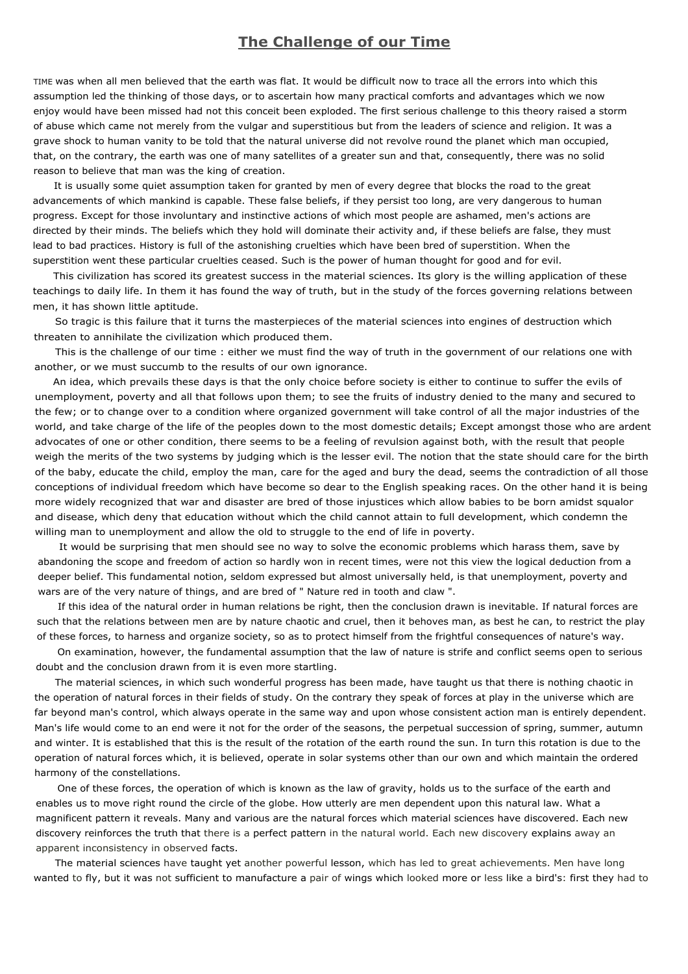## **The Challenge of our Time**

TIME was when all men believed that the earth was flat. It would be difficult now to trace all the errors into which this assumption led the thinking of those days, or to ascertain how many practical comforts and advantages which we now enjoy would have been missed had not this conceit been exploded. The first serious challenge to this theory raised a storm of abuse which came not merely from the vulgar and superstitious but from the leaders of science and religion. It was a grave shock to human vanity to be told that the natural universe did not revolve round the planet which man occupied, that, on the contrary, the earth was one of many satellites of a greater sun and that, consequently, there was no solid reason to believe that man was the king of creation.

It is usually some quiet assumption taken for granted by men of every degree that blocks the road to the great advancements of which mankind is capable. These false beliefs, if they persist too long, are very dangerous to human progress. Except for those involuntary and instinctive actions of which most people are ashamed, men's actions are directed by their minds. The beliefs which they hold will dominate their activity and, if these beliefs are false, they must lead to bad practices. History is full of the astonishing cruelties which have been bred of superstition. When the superstition went these particular cruelties ceased. Such is the power of human thought for good and for evil.

This civilization has scored its greatest success in the material sciences. Its glory is the willing application of these teachings to daily life. In them it has found the way of truth, but in the study of the forces governing relations between men, it has shown little aptitude.

So tragic is this failure that it turns the masterpieces of the material sciences into engines of destruction which threaten to annihilate the civilization which produced them.

This is the challenge of our time : either we must find the way of truth in the government of our relations one with another, or we must succumb to the results of our own ignorance.

An idea, which prevails these days is that the only choice before society is either to continue to suffer the evils of unemployment, poverty and all that follows upon them; to see the fruits of industry denied to the many and secured to the few; or to change over to a condition where organized government will take control of all the major industries of the world, and take charge of the life of the peoples down to the most domestic details; Except amongst those who are ardent advocates of one or other condition, there seems to be a feeling of revulsion against both, with the result that people weigh the merits of the two systems by judging which is the lesser evil. The notion that the state should care for the birth of the baby, educate the child, employ the man, care for the aged and bury the dead, seems the contradiction of all those conceptions of individual freedom which have become so dear to the English speaking races. On the other hand it is being more widely recognized that war and disaster are bred of those injustices which allow babies to be born amidst squalor and disease, which deny that education without which the child cannot attain to full development, which condemn the willing man to unemployment and allow the old to struggle to the end of life in poverty.

It would be surprising that men should see no way to solve the economic problems which harass them, save by abandoning the scope and freedom of action so hardly won in recent times, were not this view the logical deduction from a deeper belief. This fundamental notion, seldom expressed but almost universally held, is that unemployment, poverty and wars are of the very nature of things, and are bred of " Nature red in tooth and claw ".

If this idea of the natural order in human relations be right, then the conclusion drawn is inevitable. If natural forces are such that the relations between men are by nature chaotic and cruel, then it behoves man, as best he can, to restrict the play of these forces, to harness and organize society, so as to protect himself from the frightful consequences of nature's way.

On examination, however, the fundamental assumption that the law of nature is strife and conflict seems open to serious doubt and the conclusion drawn from it is even more startling.

The material sciences, in which such wonderful progress has been made, have taught us that there is nothing chaotic in the operation of natural forces in their fields of study. On the contrary they speak of forces at play in the universe which are far beyond man's control, which always operate in the same way and upon whose consistent action man is entirely dependent. Man's life would come to an end were it not for the order of the seasons, the perpetual succession of spring, summer, autumn and winter. It is established that this is the result of the rotation of the earth round the sun. In turn this rotation is due to the operation of natural forces which, it is believed, operate in solar systems other than our own and which maintain the ordered harmony of the constellations.

One of these forces, the operation of which is known as the law of gravity, holds us to the surface of the earth and enables us to move right round the circle of the globe. How utterly are men dependent upon this natural law. What a magnificent pattern it reveals. Many and various are the natural forces which material sciences have discovered. Each new discovery reinforces the truth that there is a perfect pattern in the natural world. Each new discovery explains away an apparent inconsistency in observed facts.

The material sciences have taught yet another powerful lesson, which has led to great achievements. Men have long wanted to fly, but it was not sufficient to manufacture a pair of wings which looked more or less like a bird's: first they had to